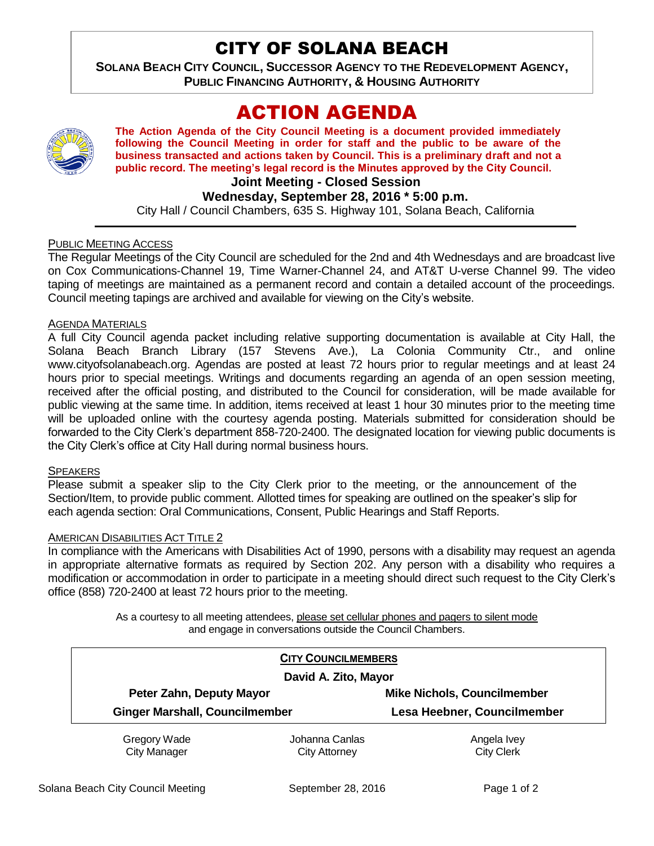## CITY OF SOLANA BEACH

**SOLANA BEACH CITY COUNCIL, SUCCESSOR AGENCY TO THE REDEVELOPMENT AGENCY, PUBLIC FINANCING AUTHORITY, & HOUSING AUTHORITY** 

# ACTION AGENDA



**The Action Agenda of the City Council Meeting is a document provided immediately following the Council Meeting in order for staff and the public to be aware of the business transacted and actions taken by Council. This is a preliminary draft and not a public record. The meeting's legal record is the Minutes approved by the City Council.**

## **Joint Meeting - Closed Session**

**Wednesday, September 28, 2016 \* 5:00 p.m.**

City Hall / Council Chambers, 635 S. Highway 101, Solana Beach, California

#### PUBLIC MEETING ACCESS

The Regular Meetings of the City Council are scheduled for the 2nd and 4th Wednesdays and are broadcast live on Cox Communications-Channel 19, Time Warner-Channel 24, and AT&T U-verse Channel 99. The video taping of meetings are maintained as a permanent record and contain a detailed account of the proceedings. Council meeting tapings are archived and available for viewing on the City's website.

#### AGENDA MATERIALS

A full City Council agenda packet including relative supporting documentation is available at City Hall, the Solana Beach Branch Library (157 Stevens Ave.), La Colonia Community Ctr., and online www.cityofsolanabeach.org. Agendas are posted at least 72 hours prior to regular meetings and at least 24 hours prior to special meetings. Writings and documents regarding an agenda of an open session meeting, received after the official posting, and distributed to the Council for consideration, will be made available for public viewing at the same time. In addition, items received at least 1 hour 30 minutes prior to the meeting time will be uploaded online with the courtesy agenda posting. Materials submitted for consideration should be forwarded to the City Clerk's department 858-720-2400. The designated location for viewing public documents is the City Clerk's office at City Hall during normal business hours.

#### **SPEAKERS**

Please submit a speaker slip to the City Clerk prior to the meeting, or the announcement of the Section/Item, to provide public comment. Allotted times for speaking are outlined on the speaker's slip for each agenda section: Oral Communications, Consent, Public Hearings and Staff Reports.

#### AMERICAN DISABILITIES ACT TITLE 2

In compliance with the Americans with Disabilities Act of 1990, persons with a disability may request an agenda in appropriate alternative formats as required by Section 202. Any person with a disability who requires a modification or accommodation in order to participate in a meeting should direct such request to the City Clerk's office (858) 720-2400 at least 72 hours prior to the meeting.

> As a courtesy to all meeting attendees, please set cellular phones and pagers to silent mode and engage in conversations outside the Council Chambers.

| <b>CITY COUNCILMEMBERS</b>            |                      |                                    |
|---------------------------------------|----------------------|------------------------------------|
| David A. Zito, Mayor                  |                      |                                    |
| Peter Zahn, Deputy Mayor              |                      | <b>Mike Nichols, Councilmember</b> |
| <b>Ginger Marshall, Councilmember</b> |                      | Lesa Heebner, Councilmember        |
| Gregory Wade                          | Johanna Canlas       | Angela Ivey                        |
| <b>City Manager</b>                   | <b>City Attorney</b> | <b>City Clerk</b>                  |